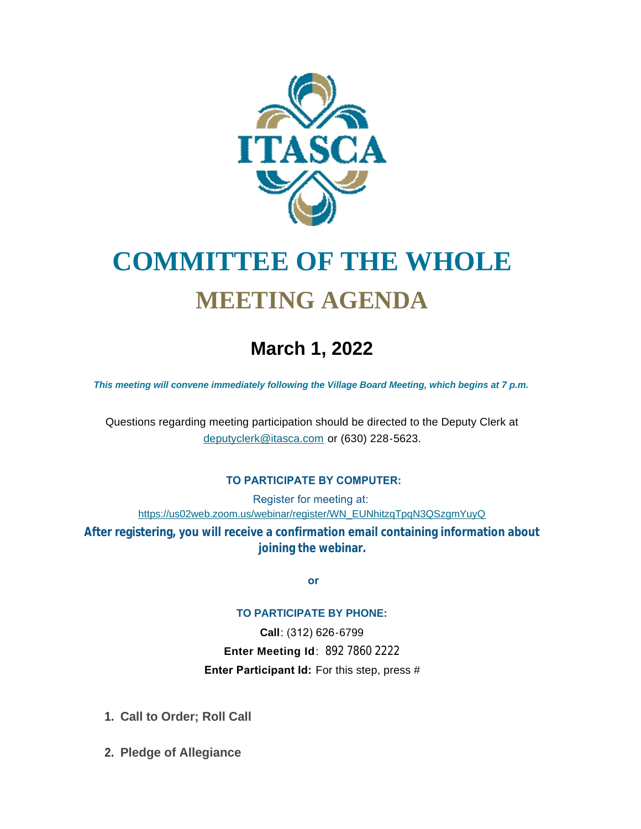

# **COMMITTEE OF THE WHOLE MEETING AGENDA**

## **March 1, 2022**

*This meeting will convene immediately following the Village Board Meeting, which begins at 7 p.m.*

[Questions regarding meeting participation sh](mailto:deputyclerk@itasca.com)ould be directed to the Deputy Clerk at deputyclerk@itasca.com or (630) 228-5623.

#### **TO PARTICIPATE BY COMPUTER:**

Register for meeting at: [https://us02web.zoom.us/webinar/register/WN\\_EUNhitzqTpqN3QSzgmYuyQ](https://us02web.zoom.us/webinar/register/WN_EUNhitzqTpqN3QSzgmYuyQ)

**After registering, you will receive a confirmation email containing information about joining the webinar.**

 **or**

#### **TO PARTICIPATE BY PHONE:**

**Call**: (312) 626-6799 **Enter Meeting Id**: 892 7860 2222 **Enter Participant Id:** For this step, press #

- **Call to Order; Roll Call 1.**
- **Pledge of Allegiance 2.**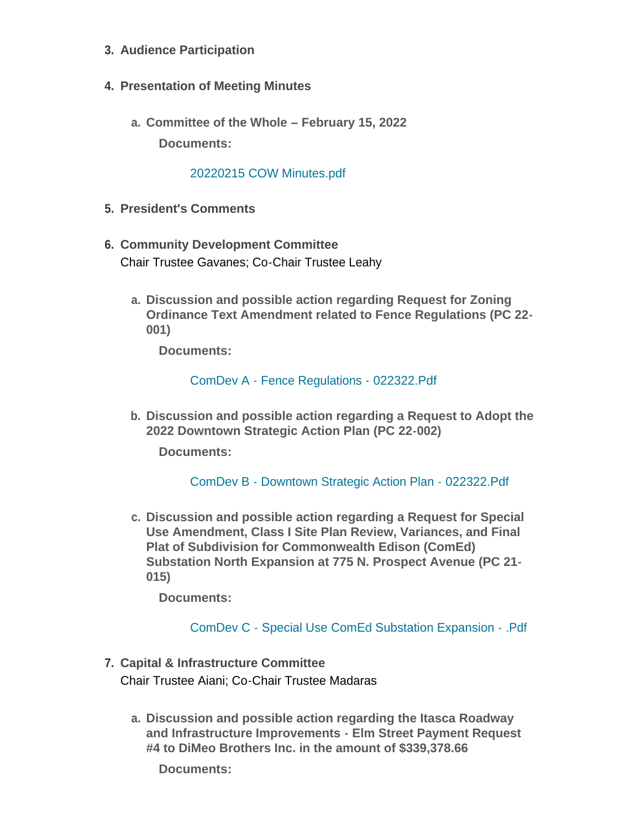- **Audience Participation 3.**
- **Presentation of Meeting Minutes 4.**
	- **Committee of the Whole – February 15, 2022 a. Documents:**

#### [20220215 COW Minutes.pdf](http://www.itasca.com/AgendaCenter/ViewFile/Item/7474?fileID=9421)

- **President's Comments 5.**
- **Community Development Committee 6.** Chair Trustee Gavanes; Co-Chair Trustee Leahy
	- **Discussion and possible action regarding Request for Zoning a. Ordinance Text Amendment related to Fence Regulations (PC 22- 001)**

**Documents:**

[ComDev A - Fence Regulations - 022322.Pdf](http://www.itasca.com/AgendaCenter/ViewFile/Item/7475?fileID=9422)

**Discussion and possible action regarding a Request to Adopt the b. 2022 Downtown Strategic Action Plan (PC 22-002)**

**Documents:**

[ComDev B - Downtown Strategic Action Plan - 022322.Pdf](http://www.itasca.com/AgendaCenter/ViewFile/Item/7476?fileID=9423)

**Discussion and possible action regarding a Request for Special c. Use Amendment, Class I Site Plan Review, Variances, and Final Plat of Subdivision for Commonwealth Edison (ComEd) Substation North Expansion at 775 N. Prospect Avenue (PC 21- 015)**

**Documents:**

[ComDev C - Special Use ComEd Substation Expansion - .Pdf](http://www.itasca.com/AgendaCenter/ViewFile/Item/7477?fileID=9424)

- **Capital & Infrastructure Committee 7.** Chair Trustee Aiani; Co-Chair Trustee Madaras
	- **Discussion and possible action regarding the Itasca Roadway a. and Infrastructure Improvements - Elm Street Payment Request #4 to DiMeo Brothers Inc. in the amount of \$339,378.66**

**Documents:**